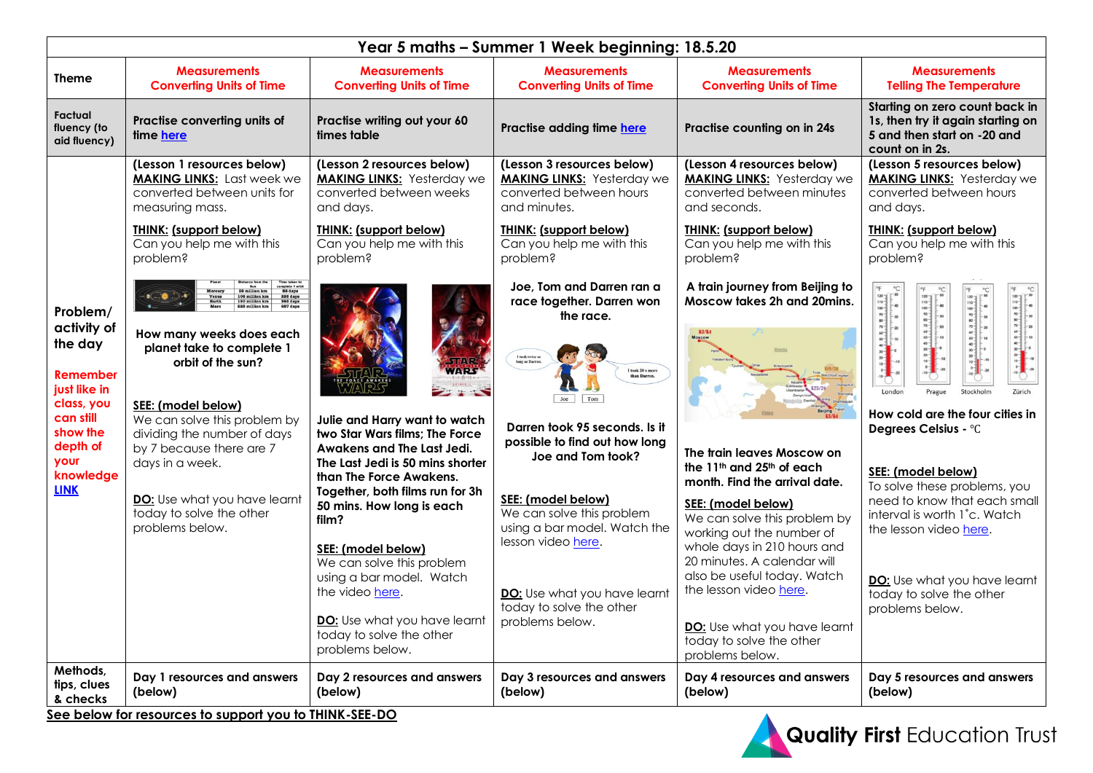| Year 5 maths - Summer 1 Week beginning: 18.5.20         |                                                                                                                                  |                                                                                                                                                                                 |                                                                                                            |                                                                                                                                                                                                                                                                    |                                                                                                                                              |                                                         |
|---------------------------------------------------------|----------------------------------------------------------------------------------------------------------------------------------|---------------------------------------------------------------------------------------------------------------------------------------------------------------------------------|------------------------------------------------------------------------------------------------------------|--------------------------------------------------------------------------------------------------------------------------------------------------------------------------------------------------------------------------------------------------------------------|----------------------------------------------------------------------------------------------------------------------------------------------|---------------------------------------------------------|
| <b>Theme</b>                                            | <b>Measurements</b><br><b>Converting Units of Time</b>                                                                           | <b>Measurements</b><br><b>Converting Units of Time</b>                                                                                                                          | <b>Measurements</b><br><b>Converting Units of Time</b>                                                     | <b>Measurements</b><br><b>Converting Units of Time</b>                                                                                                                                                                                                             | <b>Measurements</b><br><b>Telling The Temperature</b>                                                                                        |                                                         |
| Factual<br>fluency (to<br>aid fluency)                  | Practise converting units of<br>time here                                                                                        | Practise writing out your 60<br>times table                                                                                                                                     | Practise adding time here                                                                                  | Practise counting on in 24s                                                                                                                                                                                                                                        | Starting on zero count back in<br>1s, then try it again starting on<br>5 and then start on -20 and<br>count on in 2s.                        |                                                         |
|                                                         | (Lesson 1 resources below)<br><b>MAKING LINKS:</b> Last week we<br>converted between units for<br>measuring mass.                | (Lesson 2 resources below)<br><b>MAKING LINKS:</b> Yesterday we<br>converted between weeks<br>and days.                                                                         | (Lesson 3 resources below)<br><b>MAKING LINKS:</b> Yesterday we<br>converted between hours<br>and minutes. | (Lesson 4 resources below)<br><b>MAKING LINKS:</b> Yesterday we<br>converted between minutes<br>and seconds.                                                                                                                                                       | (Lesson 5 resources below)<br><b>MAKING LINKS:</b> Yesterday we<br>converted between hours<br>and days.                                      |                                                         |
|                                                         | <b>THINK: (support below)</b><br>Can you help me with this<br>problem?                                                           | <b>THINK: (support below)</b><br>Can you help me with this<br>problem?                                                                                                          | <b>THINK: (support below)</b><br>Can you help me with this<br>problem?                                     | <b>THINK: (support below)</b><br>Can you help me with this<br>problem?                                                                                                                                                                                             | <b>THINK: (support below)</b><br>Can you help me with this<br>problem?                                                                       |                                                         |
| Problem/<br>activity of                                 |                                                                                                                                  |                                                                                                                                                                                 | Joe, Tom and Darren ran a<br>race together. Darren won<br>the race.                                        | A train journey from Beijing to<br>Moscow takes 2h and 20mins.<br><b>K3/K4</b>                                                                                                                                                                                     |                                                                                                                                              |                                                         |
| the day<br><b>Remember</b><br>just like in              | How many weeks does each<br>planet take to complete 1<br>orbit of the sun?                                                       |                                                                                                                                                                                 | I took twice as<br>long as Darrer<br>I took 20 s more<br>than Darren.<br>Joe<br>Tom                        |                                                                                                                                                                                                                                                                    | <b>I</b> ondo                                                                                                                                |                                                         |
| class, you<br>can still<br>show the<br>depth of<br>your | SEE: (model below)<br>We can solve this problem by<br>dividing the number of days<br>by 7 because there are 7<br>days in a week. | Julie and Harry want to watch<br>two Star Wars films; The Force<br>Awakens and The Last Jedi.<br>The Last Jedi is 50 mins shorter                                               |                                                                                                            | Darren took 95 seconds, Is it<br>possible to find out how long<br>Joe and Tom took?                                                                                                                                                                                | The train leaves Moscow on                                                                                                                   | How cold are the four cities in<br>Degrees Celsius - °C |
| knowledge<br><b>LINK</b>                                | DO: Use what you have learnt<br>today to solve the other<br>problems below.                                                      | than The Force Awakens.<br>Together, both films run for 3h<br>50 mins. How long is each<br>film?<br>SEE: (model below)<br>We can solve this problem<br>using a bar model. Watch | SEE: (model below)<br>We can solve this problem<br>using a bar model. Watch the<br>lesson video here.      | the 11 <sup>th</sup> and 25 <sup>th</sup> of each<br>month. Find the arrival date.<br>SEE: (model below)<br>We can solve this problem by<br>working out the number of<br>whole days in 210 hours and<br>20 minutes. A calendar will<br>also be useful today. Watch | SEE: (model below)<br>To solve these problems, you<br>need to know that each small<br>interval is worth 1°c. Watch<br>the lesson video here. |                                                         |
|                                                         |                                                                                                                                  | the video here.<br>DO: Use what you have learnt<br>today to solve the other<br>problems below.                                                                                  | DO: Use what you have learnt<br>today to solve the other<br>problems below.                                | the lesson video here.<br>DO: Use what you have learnt<br>today to solve the other<br>problems below.                                                                                                                                                              | DO: Use what you have learnt<br>today to solve the other<br>problems below.                                                                  |                                                         |
| Methods,<br>tips, clues<br>& checks                     | Day 1 resources and answers<br>(below)                                                                                           | Day 2 resources and answers<br>(below)<br>$ -$                                                                                                                                  | Day 3 resources and answers<br>(below)                                                                     | Day 4 resources and answers<br>(below)                                                                                                                                                                                                                             | Day 5 resources and answers<br>(below)                                                                                                       |                                                         |

**See below for resources to support you to THINK-SEE-DO**

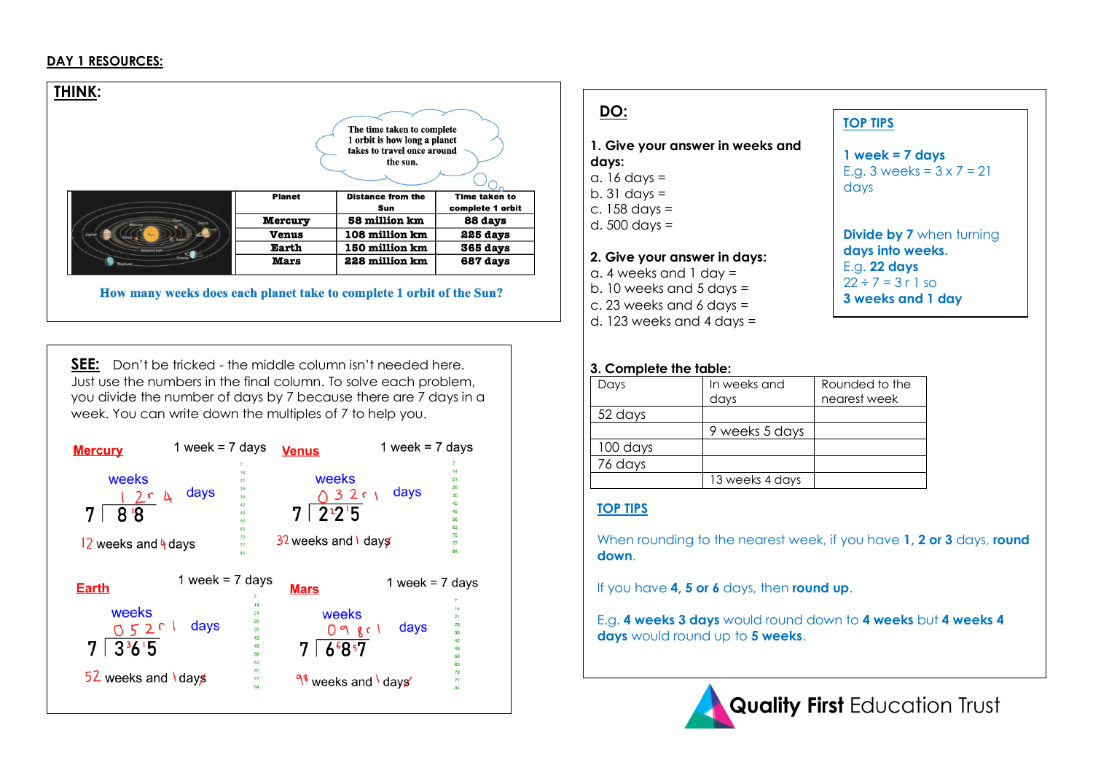#### **DAY 1 RESOURCES:**

| THINK:              |                |                                                                                                       |                  |
|---------------------|----------------|-------------------------------------------------------------------------------------------------------|------------------|
|                     |                | The time taken to complete<br>1 orbit is how long a planet<br>takes to travel once around<br>the sun. |                  |
|                     | <b>Planet</b>  | <b>Distance from the</b>                                                                              | Time taken to    |
|                     |                | Sun                                                                                                   | complete 1 orbit |
| Saturn<br>Mercury   | <b>Mercury</b> | 58 million km                                                                                         | 88 days          |
|                     | <b>Venus</b>   | 108 million km                                                                                        | 225 days         |
| <b>Letarnid hal</b> | Earth          | 150 million km                                                                                        | 365 days         |
| $P_{\text{max}}$    | <b>Mars</b>    | 228 million km                                                                                        | 687 days         |

How many weeks does each planet take to complete 1 orbit of the Sun?

**SEE:** Don't be tricked - the middle column isn't needed here. Just use the numbers in the final column. To solve each problem, you divide the number of days by 7 because there are 7 days in a week. You can write down the multiples of 7 to help you.



# **DO:**

## **1. Give your answer in weeks and days:**

- a.  $16$  days =
- b. 31 days  $=$
- c. 158 days =
- d. 500 days =

#### **2. Give your answer in days:**

- a. 4 weeks and 1 day =
- b. 10 weeks and 5 days =
- c. 23 weeks and 6 days =
- d. 123 weeks and 4 days =

# **TOP TIPS**

**1 week = 7 days** E.g. 3 weeks =  $3 \times 7 = 21$ days

**Divide by 7** when turning **days into weeks.** E.g. **22 days**  $22 \div 7 = 3$  r 1 so **3 weeks and 1 day**

#### **3. Complete the table:**

| Days     | In weeks and<br>days | Rounded to the<br>nearest week |
|----------|----------------------|--------------------------------|
| 52 days  |                      |                                |
|          | 9 weeks 5 days       |                                |
| 100 days |                      |                                |
| 76 days  |                      |                                |
|          | 13 weeks 4 days      |                                |

# **TOP TIPS**

When rounding to the nearest week, if you have **1, 2 or 3** days, **round down**.

If you have **4, 5 or 6** days, then **round up**.

E.g. **4 weeks 3 days** would round down to **4 weeks** but **4 weeks 4 days** would round up to **5 weeks**.



**Quality First Education Trust**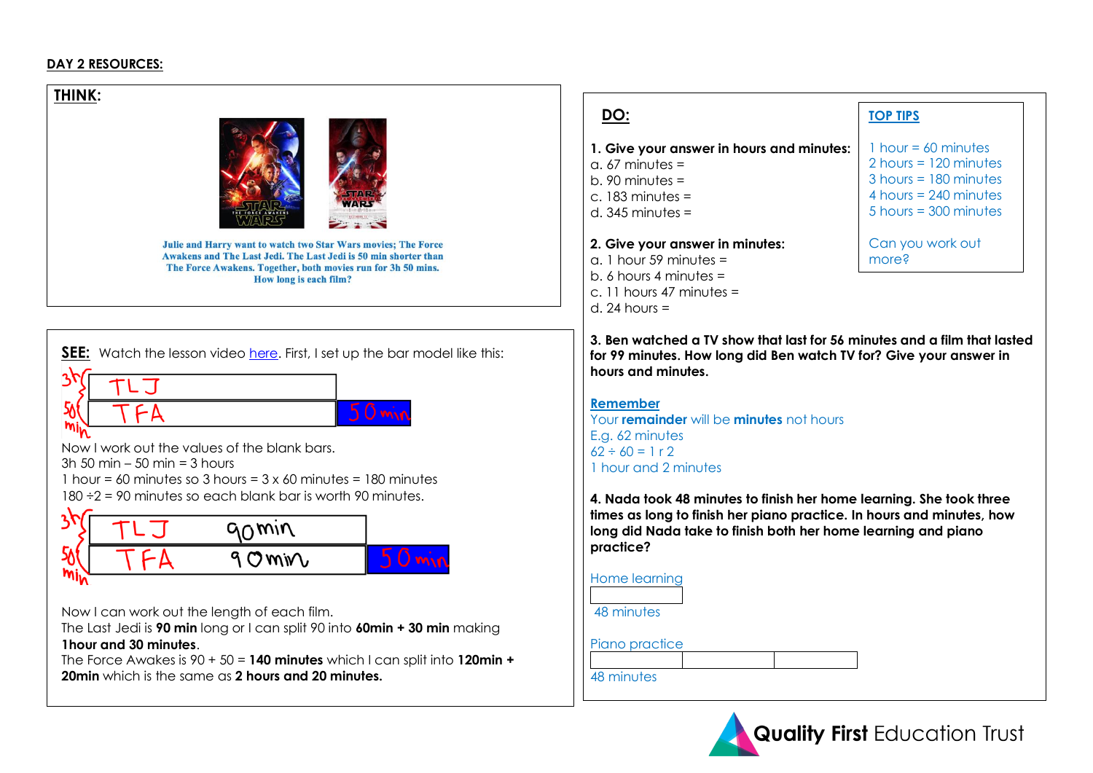## **DAY 2 RESOURCES:**

**THINK:** 



Julie and Harry want to watch two Star Wars movies; The Force Awakens and The Last Jedi. The Last Jedi is 50 min shorter than The Force Awakens. Together, both movies run for 3h 50 mins. How long is each film?



The Last Jedi is **90 min** long or I can split 90 into **60min + 30 min** making **1hour and 30 minutes**.

The Force Awakes is 90 + 50 = **140 minutes** which I can split into **120min + 20min** which is the same as **2 hours and 20 minutes.**



#### **1. Give your answer in hours and minutes:**

- $a. 67$  minutes =
- b. 90 minutes =
- c. 183 minutes =
- d.  $345$  minutes =

#### **2. Give your answer in minutes:**

- $a<sub>1</sub>$  hour 59 minutes = b. 6 hours 4 minutes = c. 11 hours 47 minutes =
- d. 24 hours  $=$

# **DO: TOP TIPS**

 $1$  hour = 60 minutes 2 hours = 120 minutes 3 hours = 180 minutes 4 hours = 240 minutes  $5$  hours = 300 minutes

Can you work out more?

**3. Ben watched a TV show that last for 56 minutes and a film that lasted for 99 minutes. How long did Ben watch TV for? Give your answer in hours and minutes.** 

**Remember** Your **remainder** will be **minutes** not hours E.g. 62 minutes  $62 \div 60 = 1 r 2$ 1 hour and 2 minutes

**4. Nada took 48 minutes to finish her home learning. She took three times as long to finish her piano practice. In hours and minutes, how long did Nada take to finish both her home learning and piano practice?** 

| Home learning  |  |
|----------------|--|
|                |  |
| 48 minutes     |  |
|                |  |
| Piano practice |  |
|                |  |
| 48 minutes     |  |

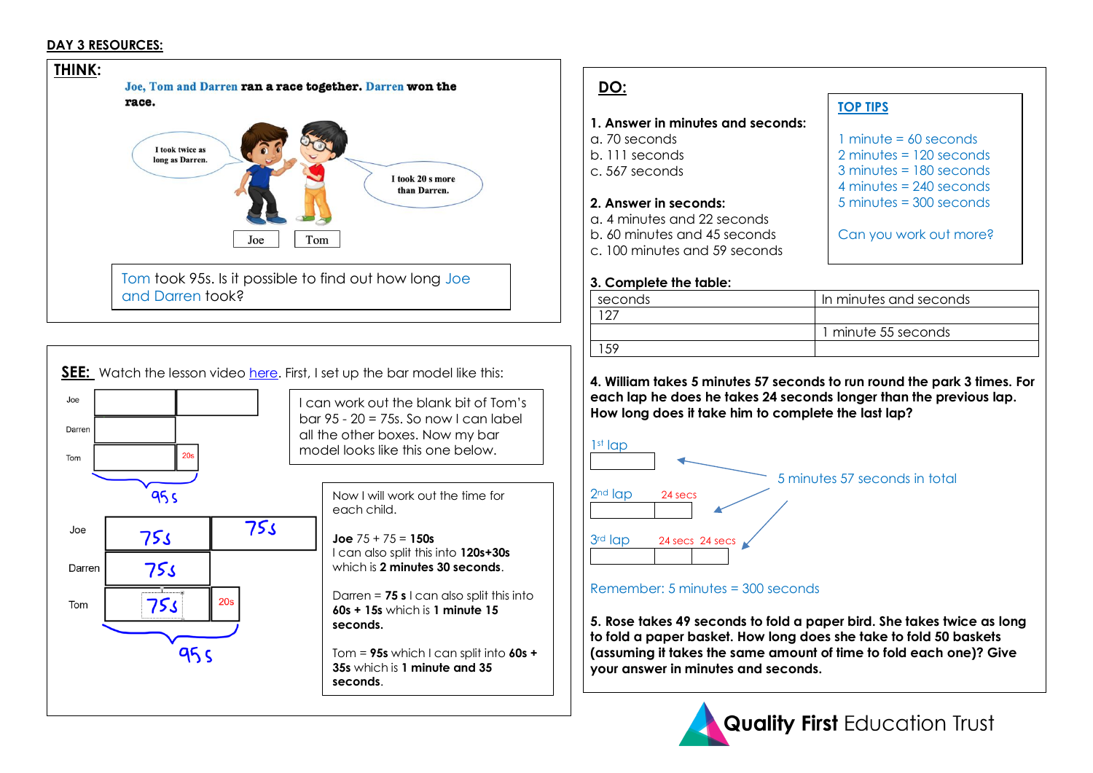## **DAY 3 RESOURCES:**



| DO:                                                                                                                                                            |                                                                                                                    |
|----------------------------------------------------------------------------------------------------------------------------------------------------------------|--------------------------------------------------------------------------------------------------------------------|
|                                                                                                                                                                | <b>TOP TIPS</b>                                                                                                    |
| 1. Answer in minutes and seconds:<br>a. 70 seconds<br>b. 111 seconds<br>c. 567 seconds                                                                         | 1 minute $= 60$ seconds<br>$2$ minutes = $120$ seconds<br>$3$ minutes = $180$ seconds<br>4 minutes $= 240$ seconds |
| 2. Answer in seconds:<br>a. 4 minutes and 22 seconds<br>b. 60 minutes and 45 seconds<br>c. 100 minutes and 59 seconds                                          | $5$ minutes = $300$ seconds<br>Can you work out more?                                                              |
| 3. Complete the table:                                                                                                                                         |                                                                                                                    |
| seconds                                                                                                                                                        | In minutes and seconds                                                                                             |
| 127                                                                                                                                                            |                                                                                                                    |
|                                                                                                                                                                | 1 minute 55 seconds                                                                                                |
| 159                                                                                                                                                            |                                                                                                                    |
| each lap he does he takes 24 seconds longer than the previous lap.<br>How long does it take him to complete the last lap?<br>$1st$ lap<br>$2nd$ lap<br>24 secs | 4. William takes 5 minutes 57 seconds to run round the park 3 times. For<br>5 minutes 57 seconds in total          |
| 3rd lap<br>24 secs 24 secs                                                                                                                                     |                                                                                                                    |
| Remember: 5 minutes = 300 seconds                                                                                                                              |                                                                                                                    |
| 5. Rose takes 49 seconds to fold a paper bird. She takes twice as long                                                                                         |                                                                                                                    |



**your answer in minutes and seconds.**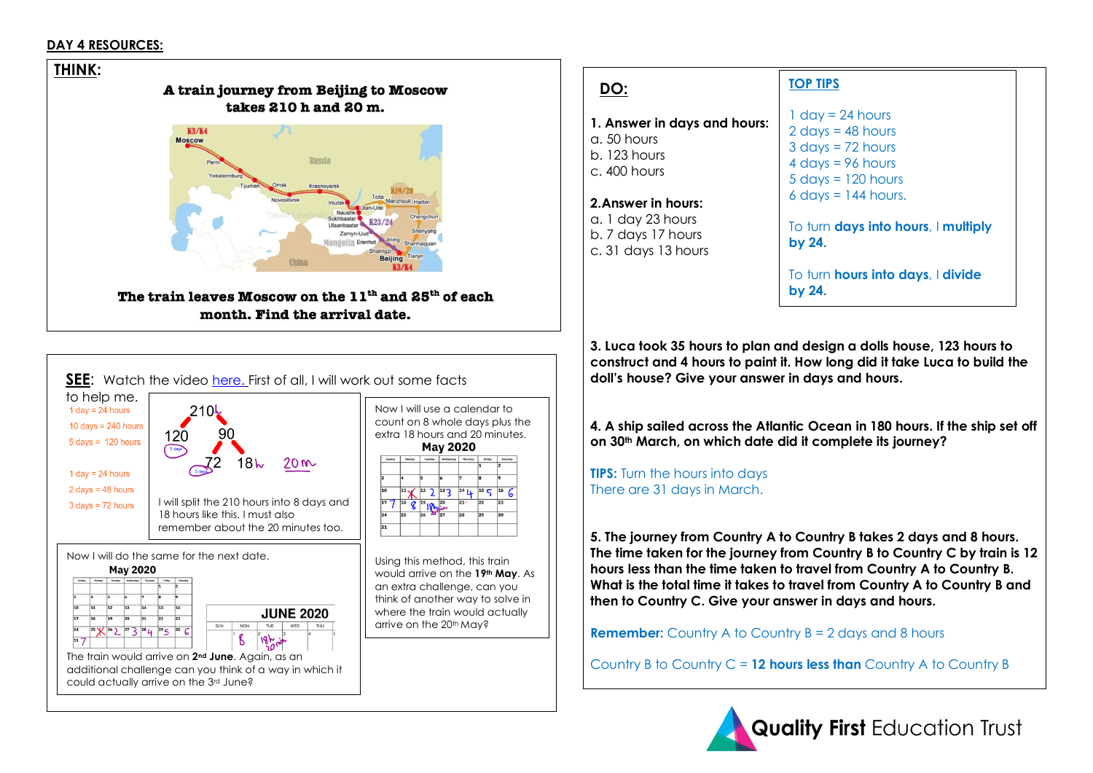#### **DAY 4 RESOURCES:**





# **DO:**

- **1. Answer in days and hours:**
- a. 50 hours b. 123 hours c. 400 hours

#### **2.Answer in hours:**

a. 1 day 23 hours b. 7 days 17 hours c. 31 days 13 hours

# **TOP TIPS**

 $1 \text{ day} = 24 \text{ hours}$  $2$  days = 48 hours  $3 \text{ days} = 72 \text{ hours}$  $4 \text{ days} = 96 \text{ hours}$  $5$  days  $= 120$  hours  $6$  days = 144 hours.

To turn **days into hours**, I **multiply by 24.**

To turn **hours into days**, I **divide by 24.**

**3. Luca took 35 hours to plan and design a dolls house, 123 hours to construct and 4 hours to paint it. How long did it take Luca to build the doll's house? Give your answer in days and hours.** 

**4. A ship sailed across the Atlantic Ocean in 180 hours. If the ship set off on 30th March, on which date did it complete its journey?**

**TIPS:** Turn the hours into days There are 31 days in March.

**5. The journey from Country A to Country B takes 2 days and 8 hours. The time taken for the journey from Country B to Country C by train is 12 hours less than the time taken to travel from Country A to Country B. What is the total time it takes to travel from Country A to Country B and then to Country C. Give your answer in days and hours.** 

**Remember:** Country A to Country B = 2 days and 8 hours

Country B to Country C = **12 hours less than** Country A to Country B

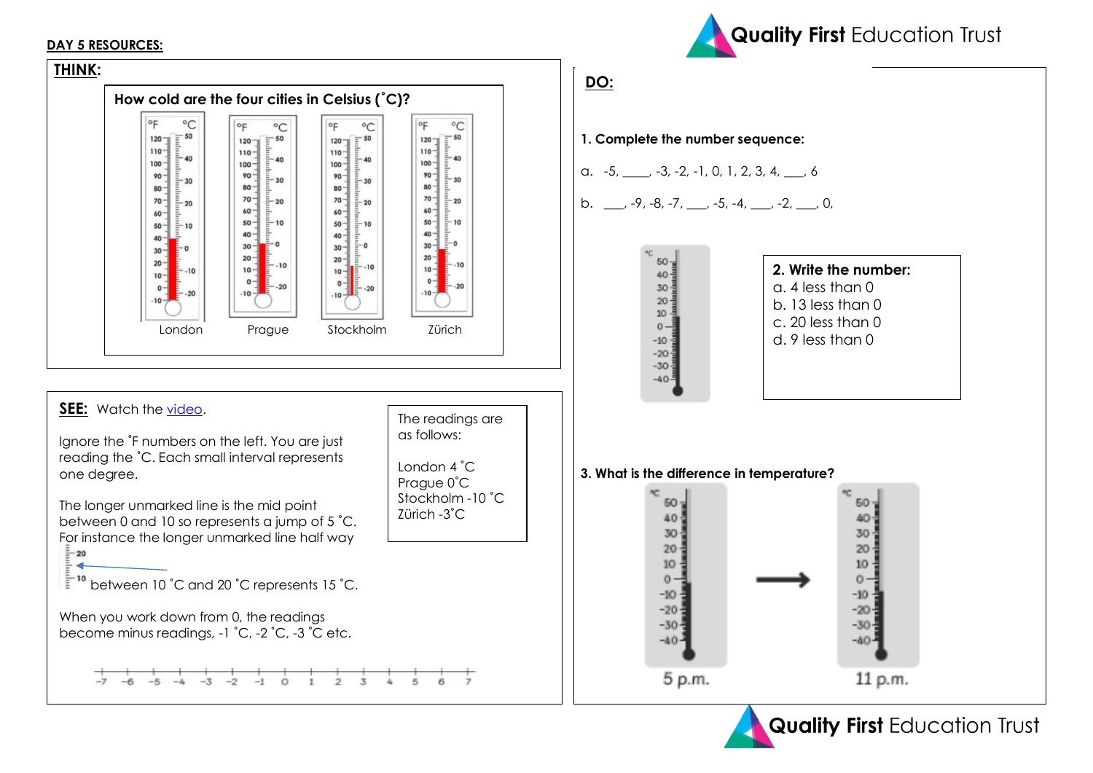#### **DAY 5 RESOURCES:**





**Quality First Education Trust**